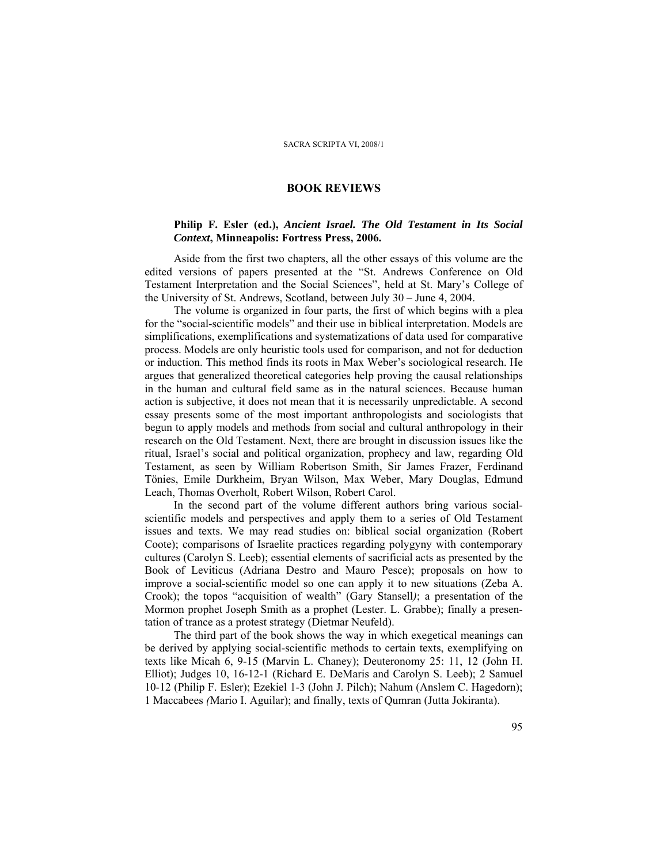## **Philip F. Esler (ed.),** *Ancient Israel. The Old Testament in Its Social Context***, Minneapolis: Fortress Press, 2006.**

Aside from the first two chapters, all the other essays of this volume are the edited versions of papers presented at the "St. Andrews Conference on Old Testament Interpretation and the Social Sciences", held at St. Mary's College of the University of St. Andrews, Scotland, between July 30 – June 4, 2004.

The volume is organized in four parts, the first of which begins with a plea for the "social-scientific models" and their use in biblical interpretation. Models are simplifications, exemplifications and systematizations of data used for comparative process. Models are only heuristic tools used for comparison, and not for deduction or induction. This method finds its roots in Max Weber's sociological research. He argues that generalized theoretical categories help proving the causal relationships in the human and cultural field same as in the natural sciences. Because human action is subjective, it does not mean that it is necessarily unpredictable. A second essay presents some of the most important anthropologists and sociologists that begun to apply models and methods from social and cultural anthropology in their research on the Old Testament. Next, there are brought in discussion issues like the ritual, Israel's social and political organization, prophecy and law, regarding Old Testament, as seen by William Robertson Smith, Sir James Frazer, Ferdinand Tönies, Emile Durkheim, Bryan Wilson, Max Weber, Mary Douglas, Edmund Leach, Thomas Overholt, Robert Wilson, Robert Carol.

In the second part of the volume different authors bring various socialscientific models and perspectives and apply them to a series of Old Testament issues and texts. We may read studies on: biblical social organization (Robert Coote); comparisons of Israelite practices regarding polygyny with contemporary cultures (Carolyn S. Leeb); essential elements of sacrificial acts as presented by the Book of Leviticus (Adriana Destro and Mauro Pesce); proposals on how to improve a social-scientific model so one can apply it to new situations (Zeba A. Crook); the topos "acquisition of wealth" (Gary Stansell*)*; a presentation of the Mormon prophet Joseph Smith as a prophet (Lester. L. Grabbe); finally a presentation of trance as a protest strategy (Dietmar Neufeld).

The third part of the book shows the way in which exegetical meanings can be derived by applying social-scientific methods to certain texts, exemplifying on texts like Micah 6, 9-15 (Marvin L. Chaney); Deuteronomy 25: 11, 12 (John H. Elliot); Judges 10, 16-12-1 (Richard E. DeMaris and Carolyn S. Leeb); 2 Samuel 10-12 (Philip F. Esler); Ezekiel 1-3 (John J. Pilch); Nahum (Anslem C. Hagedorn); 1 Maccabees *(*Mario I. Aguilar); and finally, texts of Qumran (Jutta Jokiranta).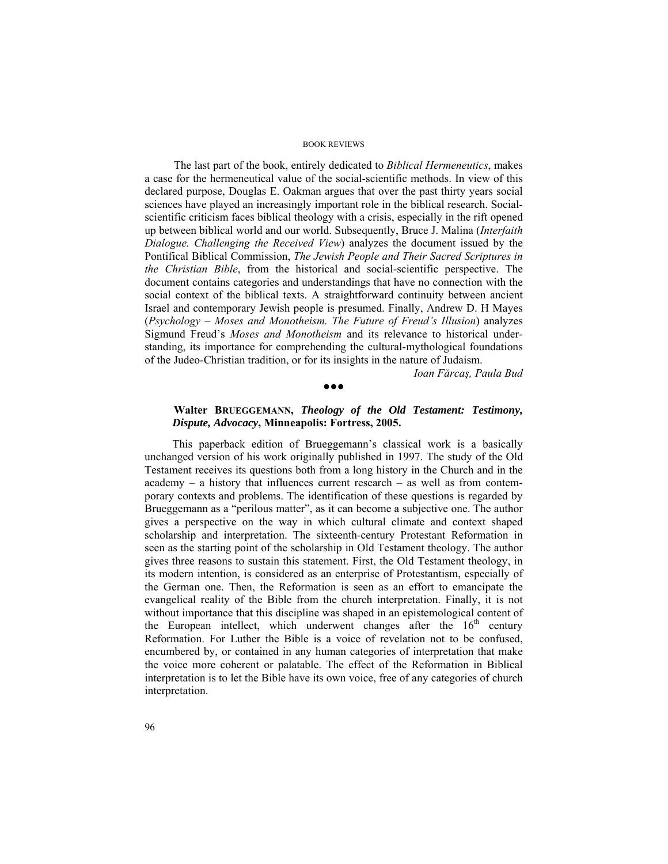The last part of the book, entirely dedicated to *Biblical Hermeneutics*, makes a case for the hermeneutical value of the social-scientific methods. In view of this declared purpose, Douglas E. Oakman argues that over the past thirty years social sciences have played an increasingly important role in the biblical research. Socialscientific criticism faces biblical theology with a crisis, especially in the rift opened up between biblical world and our world. Subsequently, Bruce J. Malina (*Interfaith Dialogue. Challenging the Received View*) analyzes the document issued by the Pontifical Biblical Commission, *The Jewish People and Their Sacred Scriptures in the Christian Bible*, from the historical and social-scientific perspective. The document contains categories and understandings that have no connection with the social context of the biblical texts. A straightforward continuity between ancient Israel and contemporary Jewish people is presumed. Finally, Andrew D. H Mayes (*Psychology – Moses and Monotheism. The Future of Freud's Illusion*) analyzes Sigmund Freud's *Moses and Monotheism* and its relevance to historical understanding, its importance for comprehending the cultural-mythological foundations of the Judeo-Christian tradition, or for its insights in the nature of Judaism.

*Ioan Fărcaş, Paula Bud* 

# **Walter BRUEGGEMANN,** *Theology of the Old Testament: Testimony, Dispute, Advocacy***, Minneapolis: Fortress, 2005.**

●●●

This paperback edition of Brueggemann's classical work is a basically unchanged version of his work originally published in 1997. The study of the Old Testament receives its questions both from a long history in the Church and in the academy – a history that influences current research – as well as from contemporary contexts and problems. The identification of these questions is regarded by Brueggemann as a "perilous matter", as it can become a subjective one. The author gives a perspective on the way in which cultural climate and context shaped scholarship and interpretation. The sixteenth-century Protestant Reformation in seen as the starting point of the scholarship in Old Testament theology. The author gives three reasons to sustain this statement. First, the Old Testament theology, in its modern intention, is considered as an enterprise of Protestantism, especially of the German one. Then, the Reformation is seen as an effort to emancipate the evangelical reality of the Bible from the church interpretation. Finally, it is not without importance that this discipline was shaped in an epistemological content of the European intellect, which underwent changes after the  $16<sup>th</sup>$  century Reformation. For Luther the Bible is a voice of revelation not to be confused, encumbered by, or contained in any human categories of interpretation that make the voice more coherent or palatable. The effect of the Reformation in Biblical interpretation is to let the Bible have its own voice, free of any categories of church interpretation.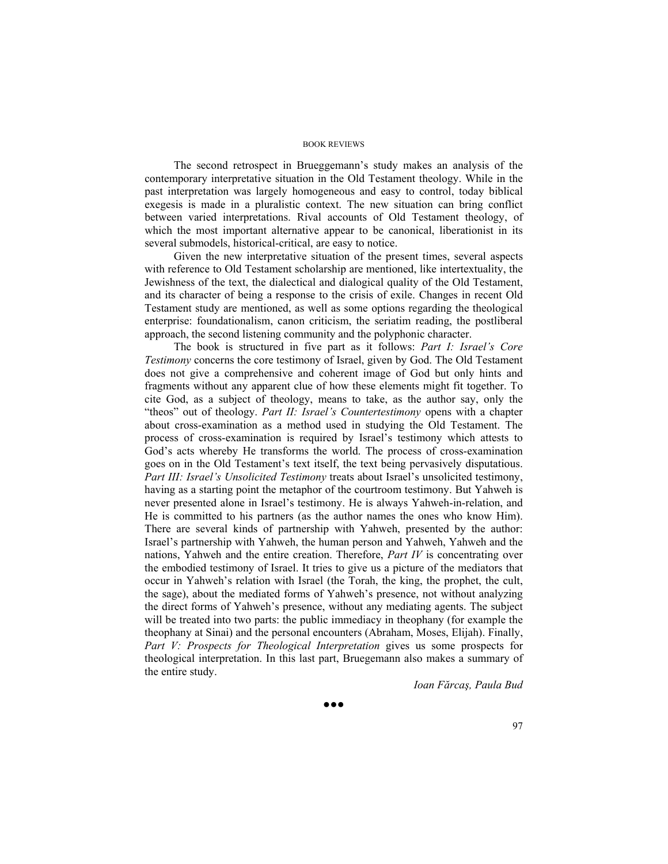The second retrospect in Brueggemann's study makes an analysis of the contemporary interpretative situation in the Old Testament theology. While in the past interpretation was largely homogeneous and easy to control, today biblical exegesis is made in a pluralistic context. The new situation can bring conflict between varied interpretations. Rival accounts of Old Testament theology, of which the most important alternative appear to be canonical, liberationist in its several submodels, historical-critical, are easy to notice.

Given the new interpretative situation of the present times, several aspects with reference to Old Testament scholarship are mentioned, like intertextuality, the Jewishness of the text, the dialectical and dialogical quality of the Old Testament, and its character of being a response to the crisis of exile. Changes in recent Old Testament study are mentioned, as well as some options regarding the theological enterprise: foundationalism, canon criticism, the seriatim reading, the postliberal approach, the second listening community and the polyphonic character.

The book is structured in five part as it follows: *Part I: Israel's Core Testimony* concerns the core testimony of Israel, given by God. The Old Testament does not give a comprehensive and coherent image of God but only hints and fragments without any apparent clue of how these elements might fit together. To cite God, as a subject of theology, means to take, as the author say, only the "theos" out of theology. *Part II: Israel's Countertestimony* opens with a chapter about cross-examination as a method used in studying the Old Testament. The process of cross-examination is required by Israel's testimony which attests to God's acts whereby He transforms the world. The process of cross-examination goes on in the Old Testament's text itself, the text being pervasively disputatious. *Part III: Israel's Unsolicited Testimony* treats about Israel's unsolicited testimony, having as a starting point the metaphor of the courtroom testimony. But Yahweh is never presented alone in Israel's testimony. He is always Yahweh-in-relation, and He is committed to his partners (as the author names the ones who know Him). There are several kinds of partnership with Yahweh, presented by the author: Israel's partnership with Yahweh, the human person and Yahweh, Yahweh and the nations, Yahweh and the entire creation. Therefore, *Part IV* is concentrating over the embodied testimony of Israel. It tries to give us a picture of the mediators that occur in Yahweh's relation with Israel (the Torah, the king, the prophet, the cult, the sage), about the mediated forms of Yahweh's presence, not without analyzing the direct forms of Yahweh's presence, without any mediating agents. The subject will be treated into two parts: the public immediacy in theophany (for example the theophany at Sinai) and the personal encounters (Abraham, Moses, Elijah). Finally, *Part V: Prospects for Theological Interpretation* gives us some prospects for theological interpretation. In this last part, Bruegemann also makes a summary of the entire study.

*Ioan Fărcaş, Paula Bud* 

●●●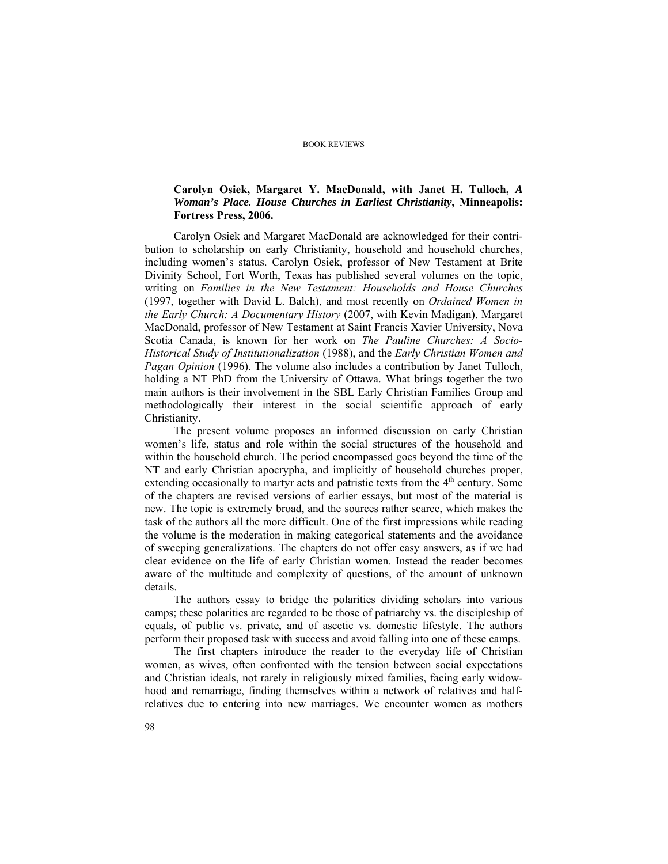## **Carolyn Osiek, Margaret Y. MacDonald, with Janet H. Tulloch,** *A Woman's Place. House Churches in Earliest Christianity***, Minneapolis: Fortress Press, 2006.**

Carolyn Osiek and Margaret MacDonald are acknowledged for their contribution to scholarship on early Christianity, household and household churches, including women's status. Carolyn Osiek, professor of New Testament at Brite Divinity School, Fort Worth, Texas has published several volumes on the topic, writing on *Families in the New Testament: Households and House Churches* (1997, together with David L. Balch), and most recently on *Ordained Women in the Early Church: A Documentary History* (2007, with Kevin Madigan). Margaret MacDonald, professor of New Testament at Saint Francis Xavier University, Nova Scotia Canada, is known for her work on *The Pauline Churches: A Socio-Historical Study of Institutionalization* (1988), and the *Early Christian Women and Pagan Opinion* (1996). The volume also includes a contribution by Janet Tulloch, holding a NT PhD from the University of Ottawa. What brings together the two main authors is their involvement in the SBL Early Christian Families Group and methodologically their interest in the social scientific approach of early Christianity.

The present volume proposes an informed discussion on early Christian women's life, status and role within the social structures of the household and within the household church. The period encompassed goes beyond the time of the NT and early Christian apocrypha, and implicitly of household churches proper, extending occasionally to martyr acts and patristic texts from the  $4<sup>th</sup>$  century. Some of the chapters are revised versions of earlier essays, but most of the material is new. The topic is extremely broad, and the sources rather scarce, which makes the task of the authors all the more difficult. One of the first impressions while reading the volume is the moderation in making categorical statements and the avoidance of sweeping generalizations. The chapters do not offer easy answers, as if we had clear evidence on the life of early Christian women. Instead the reader becomes aware of the multitude and complexity of questions, of the amount of unknown details.

The authors essay to bridge the polarities dividing scholars into various camps; these polarities are regarded to be those of patriarchy vs. the discipleship of equals, of public vs. private, and of ascetic vs. domestic lifestyle. The authors perform their proposed task with success and avoid falling into one of these camps.

The first chapters introduce the reader to the everyday life of Christian women, as wives, often confronted with the tension between social expectations and Christian ideals, not rarely in religiously mixed families, facing early widowhood and remarriage, finding themselves within a network of relatives and halfrelatives due to entering into new marriages. We encounter women as mothers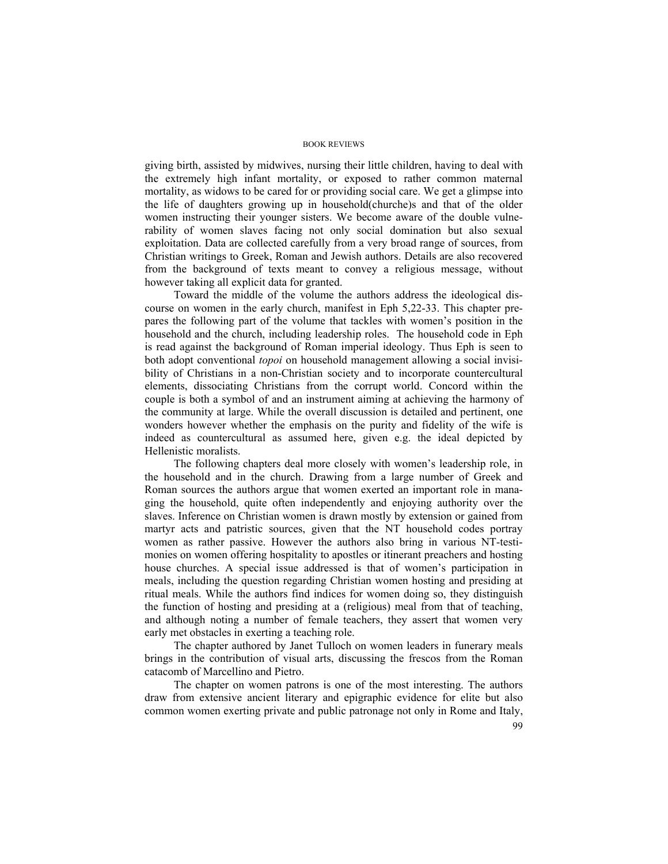giving birth, assisted by midwives, nursing their little children, having to deal with the extremely high infant mortality, or exposed to rather common maternal mortality, as widows to be cared for or providing social care. We get a glimpse into the life of daughters growing up in household(churche)s and that of the older women instructing their younger sisters. We become aware of the double vulnerability of women slaves facing not only social domination but also sexual exploitation. Data are collected carefully from a very broad range of sources, from Christian writings to Greek, Roman and Jewish authors. Details are also recovered from the background of texts meant to convey a religious message, without however taking all explicit data for granted.

Toward the middle of the volume the authors address the ideological discourse on women in the early church, manifest in Eph 5,22-33. This chapter prepares the following part of the volume that tackles with women's position in the household and the church, including leadership roles. The household code in Eph is read against the background of Roman imperial ideology. Thus Eph is seen to both adopt conventional *topoi* on household management allowing a social invisibility of Christians in a non-Christian society and to incorporate countercultural elements, dissociating Christians from the corrupt world. Concord within the couple is both a symbol of and an instrument aiming at achieving the harmony of the community at large. While the overall discussion is detailed and pertinent, one wonders however whether the emphasis on the purity and fidelity of the wife is indeed as countercultural as assumed here, given e.g. the ideal depicted by Hellenistic moralists.

The following chapters deal more closely with women's leadership role, in the household and in the church. Drawing from a large number of Greek and Roman sources the authors argue that women exerted an important role in managing the household, quite often independently and enjoying authority over the slaves. Inference on Christian women is drawn mostly by extension or gained from martyr acts and patristic sources, given that the NT household codes portray women as rather passive. However the authors also bring in various NT-testimonies on women offering hospitality to apostles or itinerant preachers and hosting house churches. A special issue addressed is that of women's participation in meals, including the question regarding Christian women hosting and presiding at ritual meals. While the authors find indices for women doing so, they distinguish the function of hosting and presiding at a (religious) meal from that of teaching, and although noting a number of female teachers, they assert that women very early met obstacles in exerting a teaching role.

The chapter authored by Janet Tulloch on women leaders in funerary meals brings in the contribution of visual arts, discussing the frescos from the Roman catacomb of Marcellino and Pietro.

The chapter on women patrons is one of the most interesting. The authors draw from extensive ancient literary and epigraphic evidence for elite but also common women exerting private and public patronage not only in Rome and Italy,